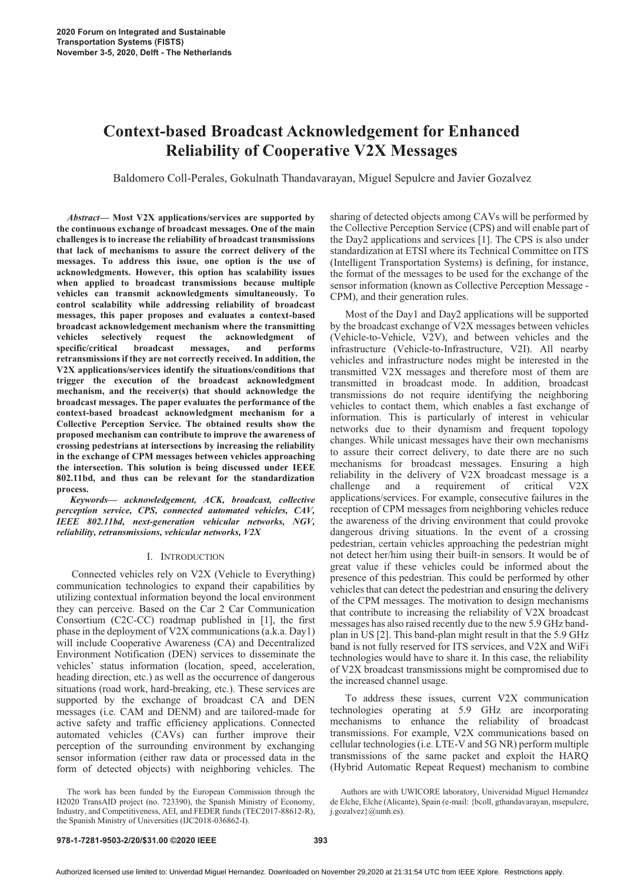# **Context-based Broadcast Acknowledgement for Enhanced Reliability of Cooperative V2X Messages**

Baldomero Coll-Perales, Gokulnath Thandavarayan, Miguel Sepulcre and Javier Gozalvez

*Abstract***- Most V2X applications/services are supported by the continuous exchange of broadcast messages. One of the main challenges is to increase the reliability of broadcast transmissions that lack of mechanisms to assure the correct delivery of the messages. To address this issue, one option is the use of acknowledgments. However, this option has scalability issues when applied to broadcast transmissions because multiple vehicles can transmit acknowledgments simultaneously. To control scalability while addressing reliability of broadcast messages, this paper proposes and evaluates a context-based broadcast acknowledgement mechanism where the transmitting vehicles selectively request the acknowledgment of specific/critical broadcast messages, and performs retransmissions if they are not correctly received. In addition, the V2X applications/services identify the situations/conditions that trigger the execution of the broadcast acknowledgment mechanism, and the receiver(s) that should acknowledge the broadcast messages. The paper evaluates the performance of the context-based broadcast acknowledgment mechanism for a Collective Perception Service. The obtained results show the proposed mechanism can contribute to improve the awareness of crossing pedestrians at intersections by increasing the reliability in the exchange of CPM messages between vehicles approaching the intersection. This solution is being discussed under IEEE 802.11bd, and thus can be relevant for the standardization process.** 

*Keywords- acknowledgement, ACK, broadcast, collective perception service, CPS, connected automated vehicles, CAV, IEEE 802.11bd, next-generation vehicular networks, NGV, reliability, retransmissions, vehicular networks, V2X* 

## I. INTRODUCTION

Connected vehicles rely on V2X (Vehicle to Everything) communication technologies to expand their capabilities by utilizing contextual information beyond the local environment they can perceive. Based on the Car 2 Car Communication Consortium (C2C-CC) roadmap published in [1], the first phase in the deployment of V2X communications (a.k.a. Day1) will include Cooperative Awareness (CA) and Decentralized Environment Notification (DEN) services to disseminate the vehicles' status information (location, speed, acceleration, heading direction, etc.) as well as the occurrence of dangerous situations (road work, hard-breaking, etc.). These services are supported by the exchange of broadcast CA and DEN messages (i.e. CAM and DENM) and are tailored-made for active safety and traffic efficiency applications. Connected automated vehicles (CAVs) can further improve their perception of the surrounding environment by exchanging sensor information (either raw data or processed data in the form of detected objects) with neighboring vehicles. The

The work has been funded by the European Commission through the H2020 TransAID project (no. 723390), the Spanish Ministry of Economy, Industry, and Competitiveness, AEI, and FEDER funds (TEC2017-88612-R), the Spanish Ministry of Universities (IJC2018-036862-I).

sharing of detected objects among CAVs will be performed by the Collective Perception Service (CPS) and will enable part of the Day2 applications and services [1]. The CPS is also under standardization at ETSI where its Technical Committee on ITS (Intelligent Transportation Systems) is defining, for instance, the format of the messages to be used for the exchange of the sensor information (known as Collective Perception Message - CPM), and their generation rules.

Most of the Day1 and Day2 applications will be supported by the broadcast exchange of V2X messages between vehicles (Vehicle-to-Vehicle, V2V), and between vehicles and the infrastructure (Vehicle-to-Infrastructure, V2I). All nearby vehicles and infrastructure nodes might be interested in the transmitted V2X messages and therefore most of them are transmitted in broadcast mode. In addition, broadcast transmissions do not require identifying the neighboring vehicles to contact them, which enables a fast exchange of information. This is particularly of interest in vehicular networks due to their dynamism and frequent topology changes. While unicast messages have their own mechanisms to assure their correct delivery, to date there are no such mechanisms for broadcast messages. Ensuring a high reliability in the delivery of V2X broadcast message is a challenge and a requirement of critical V2X applications/services. For example, consecutive failures in the reception of CPM messages from neighboring vehicles reduce the awareness of the driving environment that could provoke dangerous driving situations. In the event of a crossing pedestrian, certain vehicles approaching the pedestrian might not detect her/him using their built-in sensors. It would be of great value if these vehicles could be informed about the presence of this pedestrian. This could be performed by other vehicles that can detect the pedestrian and ensuring the delivery of the CPM messages. The motivation to design mechanisms that contribute to increasing the reliability of V2X broadcast messages has also raised recently due to the new 5.9 GHz bandplan in US [2]. This band-plan might result in that the 5.9 GHz band is not fully reserved for ITS services, and V2X and WiFi technologies would have to share it. In this case, the reliability of V2X broadcast transmissions might be compromised due to the increased channel usage.

To address these issues, current V2X communication technologies operating at 5.9 GHz are incorporating mechanisms to enhance the reliability of broadcast transmissions. For example, V2X communications based on cellular technologies (i.e. LTE-V and 5G NR) perform multiple transmissions of the same packet and exploit the HARQ (Hybrid Automatic Repeat Request) mechanism to combine

## **978-1-7281-9503-2/20/\$31.00 ©2020 IEEE 393**

Authors are with UWICORE laboratory, Universidad Miguel Hernandez de Elche, Elche (Alicante), Spain (e-mail: {bcoll, gthandavarayan, msepulcre, j.gozalvez}@umh.es).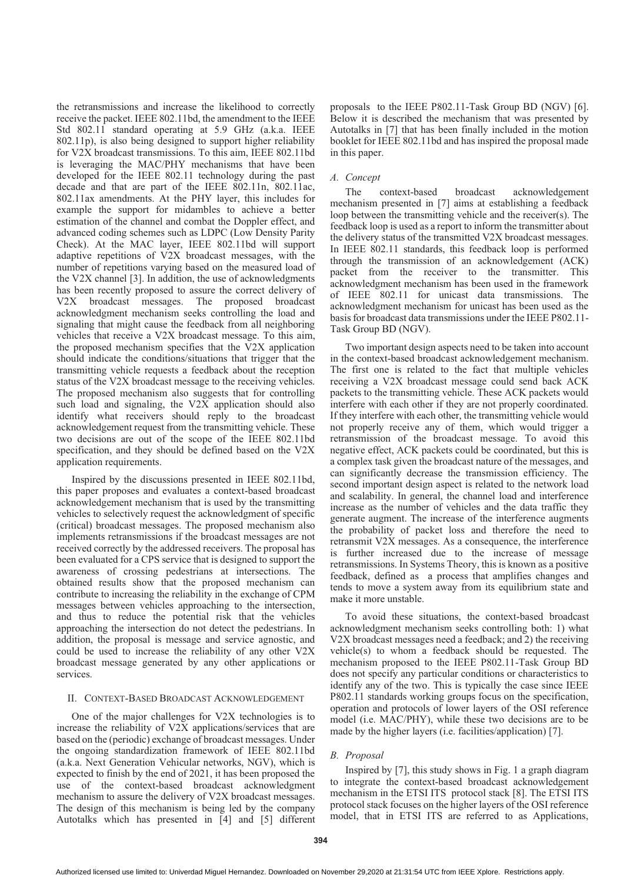the retransmissions and increase the likelihood to correctly receive the packet. IEEE 802.11bd, the amendment to the IEEE Std 802.11 standard operating at 5.9 GHz (a.k.a. IEEE 802.11p), is also being designed to support higher reliability for V2X broadcast transmissions. To this aim, IEEE 802.11bd is leveraging the MAC/PHY mechanisms that have been developed for the IEEE 802.11 technology during the past decade and that are part of the IEEE 802.11n, 802.11ac, 802.11ax amendments. At the PHY layer, this includes for example the support for midambles to achieve a better estimation of the channel and combat the Doppler effect, and advanced coding schemes such as LDPC (Low Density Parity Check). At the MAC layer, IEEE 802.11bd will support adaptive repetitions of V2X broadcast messages, with the number of repetitions varying based on the measured load of the V2X channel [3]. In addition, the use of acknowledgments has been recently proposed to assure the correct delivery of V2X broadcast messages. The proposed broadcast acknowledgment mechanism seeks controlling the load and signaling that might cause the feedback from all neighboring vehicles that receive a V2X broadcast message. To this aim, the proposed mechanism specifies that the V2X application should indicate the conditions/situations that trigger that the transmitting vehicle requests a feedback about the reception status of the V2X broadcast message to the receiving vehicles. The proposed mechanism also suggests that for controlling such load and signaling, the V2X application should also identify what receivers should reply to the broadcast acknowledgement request from the transmitting vehicle. These two decisions are out of the scope of the IEEE 802.11bd specification, and they should be defined based on the V2X application requirements.

Inspired by the discussions presented in IEEE 802.11bd, this paper proposes and evaluates a context-based broadcast acknowledgement mechanism that is used by the transmitting vehicles to selectively request the acknowledgment of specific (critical) broadcast messages. The proposed mechanism also implements retransmissions if the broadcast messages are not received correctly by the addressed receivers. The proposal has been evaluated for a CPS service that is designed to support the awareness of crossing pedestrians at intersections. The obtained results show that the proposed mechanism can contribute to increasing the reliability in the exchange of CPM messages between vehicles approaching to the intersection, and thus to reduce the potential risk that the vehicles approaching the intersection do not detect the pedestrians. In addition, the proposal is message and service agnostic, and could be used to increase the reliability of any other V2X broadcast message generated by any other applications or services.

## II. CONTEXT-BASED BROADCAST ACKNOWLEDGEMENT

One of the major challenges for V2X technologies is to increase the reliability of V2X applications/services that are based on the (periodic) exchange of broadcast messages. Under the ongoing standardization framework of IEEE 802.11bd (a.k.a. Next Generation Vehicular networks, NGV), which is expected to finish by the end of 2021, it has been proposed the use of the context-based broadcast acknowledgment mechanism to assure the delivery of V2X broadcast messages. The design of this mechanism is being led by the company Autotalks which has presented in [4] and [5] different

proposals to the IEEE P802.11-Task Group BD (NGV) [6]. Below it is described the mechanism that was presented by Autotalks in [7] that has been finally included in the motion booklet for IEEE 802.11bd and has inspired the proposal made in this paper.

## *A. Concept*

The context-based broadcast acknowledgement mechanism presented in [7] aims at establishing a feedback loop between the transmitting vehicle and the receiver(s). The feedback loop is used as a report to inform the transmitter about the delivery status of the transmitted V2X broadcast messages. In IEEE 802.11 standards, this feedback loop is performed through the transmission of an acknowledgement (ACK) packet from the receiver to the transmitter. This acknowledgment mechanism has been used in the framework of IEEE 802.11 for unicast data transmissions. The acknowledgment mechanism for unicast has been used as the basis for broadcast data transmissions under the IEEE P802.11- Task Group BD (NGV).

Two important design aspects need to be taken into account in the context-based broadcast acknowledgement mechanism. The first one is related to the fact that multiple vehicles receiving a V2X broadcast message could send back ACK packets to the transmitting vehicle. These ACK packets would interfere with each other if they are not properly coordinated. If they interfere with each other, the transmitting vehicle would not properly receive any of them, which would trigger a retransmission of the broadcast message. To avoid this negative effect, ACK packets could be coordinated, but this is a complex task given the broadcast nature of the messages, and can significantly decrease the transmission efficiency. The second important design aspect is related to the network load and scalability. In general, the channel load and interference increase as the number of vehicles and the data traffic they generate augment. The increase of the interference augments the probability of packet loss and therefore the need to retransmit V2X messages. As a consequence, the interference is further increased due to the increase of message retransmissions. In Systems Theory, this is known as a positive feedback, defined as a process that amplifies changes and tends to move a system away from its equilibrium state and make it more unstable.

To avoid these situations, the context-based broadcast acknowledgment mechanism seeks controlling both: 1) what V2X broadcast messages need a feedback; and 2) the receiving vehicle(s) to whom a feedback should be requested. The mechanism proposed to the IEEE P802.11-Task Group BD does not specify any particular conditions or characteristics to identify any of the two. This is typically the case since IEEE P802.11 standards working groups focus on the specification, operation and protocols of lower layers of the OSI reference model (i.e. MAC/PHY), while these two decisions are to be made by the higher layers (i.e. facilities/application) [7].

# *B. Proposal*

Inspired by [7], this study shows in Fig. 1 a graph diagram to integrate the context-based broadcast acknowledgement mechanism in the ETSI ITS protocol stack [8]. The ETSI ITS protocol stack focuses on the higher layers of the OSI reference model, that in ETSI ITS are referred to as Applications,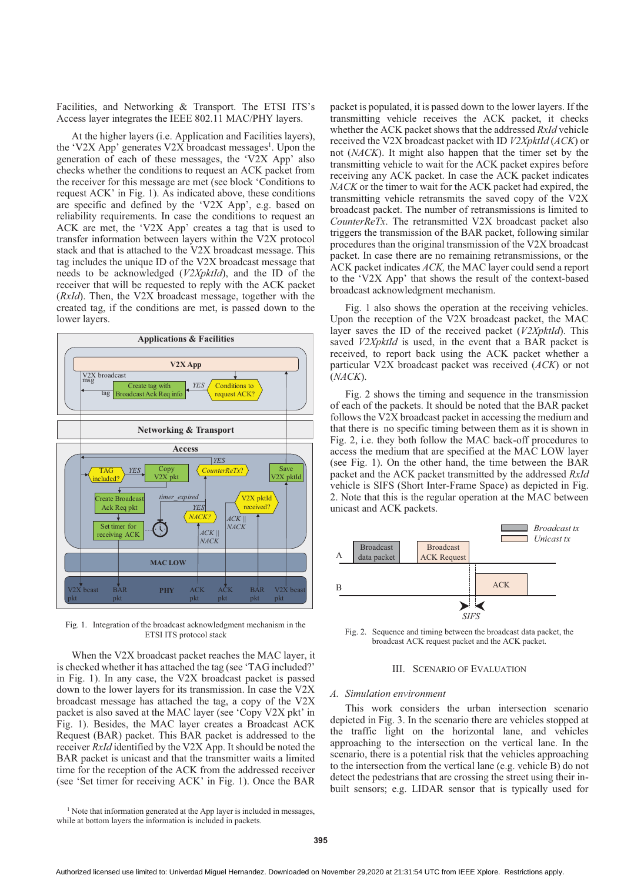Facilities, and Networking & Transport. The ETSI ITS's Access layer integrates the IEEE 802.11 MAC/PHY layers.

At the higher layers (i.e. Application and Facilities layers), the 'V2X App' generates V2X broadcast messages<sup>1</sup>. Upon the generation of each of these messages, the 'V2X App' also checks whether the conditions to request an ACK packet from the receiver for this message are met (see block 'Conditions to request ACK' in Fig. 1). As indicated above, these conditions are specific and defined by the 'V2X App', e.g. based on reliability requirements. In case the conditions to request an ACK are met, the 'V2X App' creates a tag that is used to transfer information between layers within the V2X protocol stack and that is attached to the V2X broadcast message. This tag includes the unique ID of the V2X broadcast message that needs to be acknowledged (*V2XpktId*), and the ID of the receiver that will be requested to reply with the ACK packet (*RxId*). Then, the V2X broadcast message, together with the created tag, if the conditions are met, is passed down to the lower layers.



Fig. 1. Integration of the broadcast acknowledgment mechanism in the ETSI ITS protocol stack

When the V2X broadcast packet reaches the MAC layer, it is checked whether it has attached the tag (see 'TAG included?' in Fig. 1). In any case, the V2X broadcast packet is passed down to the lower layers for its transmission. In case the V2X broadcast message has attached the tag, a copy of the V2X packet is also saved at the MAC layer (see 'Copy V2X pkt' in Fig. 1). Besides, the MAC layer creates a Broadcast ACK Request (BAR) packet. This BAR packet is addressed to the receiver *RxId* identified by the V2X App. It should be noted the BAR packet is unicast and that the transmitter waits a limited time for the reception of the ACK from the addressed receiver (see 'Set timer for receiving ACK' in Fig. 1). Once the BAR

<sup>1</sup> Note that information generated at the App layer is included in messages, while at bottom layers the information is included in packets.

packet is populated, it is passed down to the lower layers. If the transmitting vehicle receives the ACK packet, it checks whether the ACK packet shows that the addressed *RxId* vehicle received the V2X broadcast packet with ID *V2XpktId* (*ACK*) or not (*NACK*). It might also happen that the timer set by the transmitting vehicle to wait for the ACK packet expires before receiving any ACK packet. In case the ACK packet indicates *NACK* or the timer to wait for the ACK packet had expired, the transmitting vehicle retransmits the saved copy of the V2X broadcast packet. The number of retransmissions is limited to *CounterReTx*. The retransmitted V2X broadcast packet also triggers the transmission of the BAR packet, following similar procedures than the original transmission of the V2X broadcast packet. In case there are no remaining retransmissions, or the ACK packet indicates *ACK,* the MAC layer could send a report to the 'V2X App' that shows the result of the context-based broadcast acknowledgment mechanism.

Fig. 1 also shows the operation at the receiving vehicles. Upon the reception of the V2X broadcast packet, the MAC layer saves the ID of the received packet (*V2XpktId*). This saved *V2XpktId* is used, in the event that a BAR packet is received, to report back using the ACK packet whether a particular V2X broadcast packet was received (*ACK*) or not (*NACK*).

Fig. 2 shows the timing and sequence in the transmission of each of the packets. It should be noted that the BAR packet follows the V2X broadcast packet in accessing the medium and that there is no specific timing between them as it is shown in Fig. 2, i.e. they both follow the MAC back-off procedures to access the medium that are specified at the MAC LOW layer (see Fig. 1). On the other hand, the time between the BAR packet and the ACK packet transmitted by the addressed *RxId* vehicle is SIFS (Short Inter-Frame Space) as depicted in Fig. 2. Note that this is the regular operation at the MAC between unicast and ACK packets.



Fig. 2. Sequence and timing between the broadcast data packet, the broadcast ACK request packet and the ACK packet.

# III. SCENARIO OF EVALUATION

### *A. Simulation environment*

This work considers the urban intersection scenario depicted in Fig. 3. In the scenario there are vehicles stopped at the traffic light on the horizontal lane, and vehicles approaching to the intersection on the vertical lane. In the scenario, there is a potential risk that the vehicles approaching to the intersection from the vertical lane (e.g. vehicle B) do not detect the pedestrians that are crossing the street using their inbuilt sensors; e.g. LIDAR sensor that is typically used for

**395**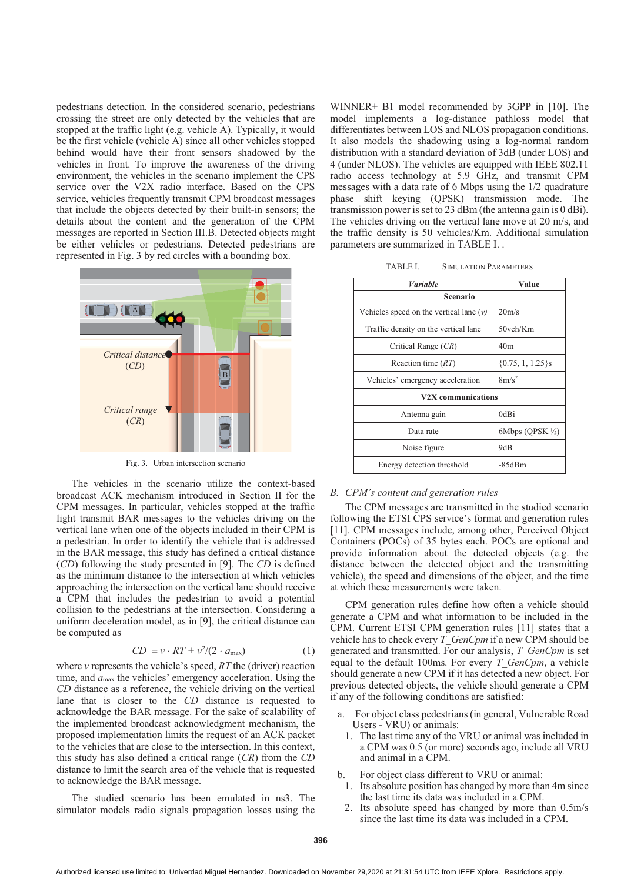pedestrians detection. In the considered scenario, pedestrians crossing the street are only detected by the vehicles that are stopped at the traffic light (e.g. vehicle A). Typically, it would be the first vehicle (vehicle A) since all other vehicles stopped behind would have their front sensors shadowed by the vehicles in front. To improve the awareness of the driving environment, the vehicles in the scenario implement the CPS service over the V2X radio interface. Based on the CPS service, vehicles frequently transmit CPM broadcast messages that include the objects detected by their built-in sensors; the details about the content and the generation of the CPM messages are reported in Section III.B. Detected objects might be either vehicles or pedestrians. Detected pedestrians are represented in Fig. 3 by red circles with a bounding box.



Fig. 3. Urban intersection scenario

The vehicles in the scenario utilize the context-based broadcast ACK mechanism introduced in Section II for the CPM messages. In particular, vehicles stopped at the traffic light transmit BAR messages to the vehicles driving on the vertical lane when one of the objects included in their CPM is a pedestrian. In order to identify the vehicle that is addressed in the BAR message, this study has defined a critical distance (*CD*) following the study presented in [9]. The *CD* is defined as the minimum distance to the intersection at which vehicles approaching the intersection on the vertical lane should receive a CPM that includes the pedestrian to avoid a potential collision to the pedestrians at the intersection. Considering a uniform deceleration model, as in [9], the critical distance can be computed as

$$
CD = v \cdot RT + v^2/(2 \cdot a_{\text{max}}) \tag{1}
$$

where  $\nu$  represents the vehicle's speed,  $RT$  the (driver) reaction time, and  $a_{\text{max}}$  the vehicles' emergency acceleration. Using the *CD* distance as a reference, the vehicle driving on the vertical lane that is closer to the *CD* distance is requested to acknowledge the BAR message. For the sake of scalability of the implemented broadcast acknowledgment mechanism, the proposed implementation limits the request of an ACK packet to the vehicles that are close to the intersection. In this context, this study has also defined a critical range (*CR*) from the *CD* distance to limit the search area of the vehicle that is requested to acknowledge the BAR message.

The studied scenario has been emulated in ns3. The simulator models radio signals propagation losses using the

WINNER+ B1 model recommended by 3GPP in [10]. The model implements a log-distance pathloss model that differentiates between LOS and NLOS propagation conditions. It also models the shadowing using a log-normal random distribution with a standard deviation of 3dB (under LOS) and 4 (under NLOS). The vehicles are equipped with IEEE 802.11 radio access technology at 5.9 GHz, and transmit CPM messages with a data rate of 6 Mbps using the 1/2 quadrature phase shift keying (QPSK) transmission mode. The transmission power is set to 23 dBm (the antenna gain is 0 dBi). The vehicles driving on the vertical lane move at 20 m/s, and the traffic density is 50 vehicles/Km. Additional simulation parameters are summarized in TABLE I. .

| Variable                                  | Value                       |
|-------------------------------------------|-----------------------------|
| <b>Scenario</b>                           |                             |
| Vehicles speed on the vertical lane $(v)$ | 20 <sub>m/s</sub>           |
| Traffic density on the vertical lane      | 50veh/Km                    |
| Critical Range (CR)                       | 40 <sub>m</sub>             |
| Reaction time $(RT)$                      | $\{0.75, 1, 1.25\}$ s       |
| Vehicles' emergency acceleration          | $8m/s^2$                    |
| V2X communications                        |                             |
| Antenna gain                              | 0dBi                        |
| Data rate                                 | 6Mbps (QPSK $\frac{1}{2}$ ) |
| Noise figure                              | 9dB                         |
| Energy detection threshold                | $-85dBm$                    |

# *B.* CPM's content and generation rules

The CPM messages are transmitted in the studied scenario following the ETSI CPS service's format and generation rules [11]. CPM messages include, among other, Perceived Object Containers (POCs) of 35 bytes each. POCs are optional and provide information about the detected objects (e.g. the distance between the detected object and the transmitting vehicle), the speed and dimensions of the object, and the time at which these measurements were taken.

CPM generation rules define how often a vehicle should generate a CPM and what information to be included in the CPM. Current ETSI CPM generation rules [11] states that a vehicle has to check every *T\_GenCpm* if a new CPM should be generated and transmitted. For our analysis, *T\_GenCpm* is set equal to the default 100ms. For every *T\_GenCpm*, a vehicle should generate a new CPM if it has detected a new object. For previous detected objects, the vehicle should generate a CPM if any of the following conditions are satisfied:

- a. For object class pedestrians (in general, Vulnerable Road Users - VRU) or animals:
	- 1. The last time any of the VRU or animal was included in a CPM was 0.5 (or more) seconds ago, include all VRU and animal in a CPM.

For object class different to VRU or animal:

- 1. Its absolute position has changed by more than 4m since the last time its data was included in a CPM.
- 2. Its absolute speed has changed by more than 0.5m/s since the last time its data was included in a CPM.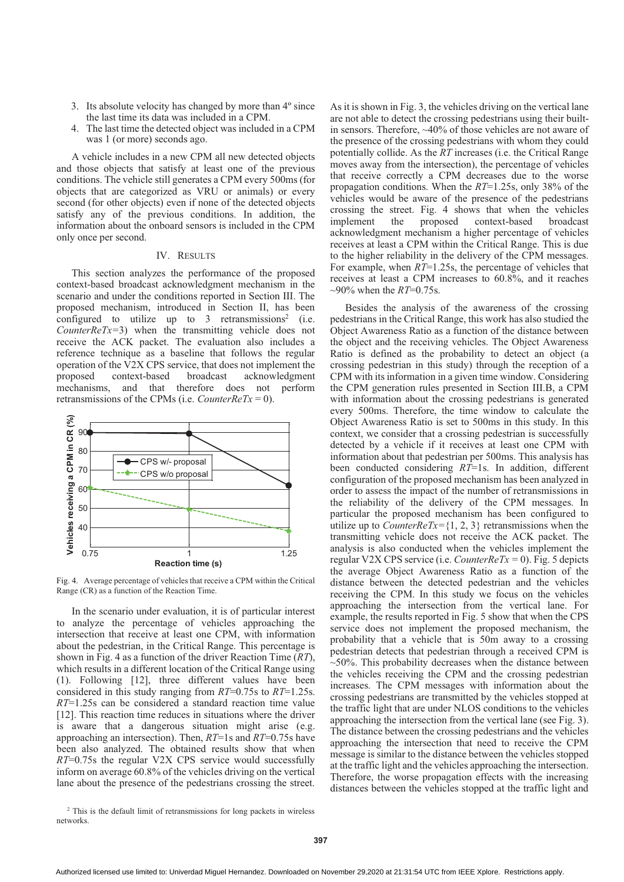- 3. Its absolute velocity has changed by more than 4º since the last time its data was included in a CPM.
- The last time the detected object was included in a CPM was 1 (or more) seconds ago.

A vehicle includes in a new CPM all new detected objects and those objects that satisfy at least one of the previous conditions. The vehicle still generates a CPM every 500ms (for objects that are categorized as VRU or animals) or every second (for other objects) even if none of the detected objects satisfy any of the previous conditions. In addition, the information about the onboard sensors is included in the CPM only once per second.

### IV. RESULTS

This section analyzes the performance of the proposed context-based broadcast acknowledgment mechanism in the scenario and under the conditions reported in Section III. The proposed mechanism, introduced in Section II, has been configured to utilize up to  $3$  retransmissions<sup>2</sup> (i.e. *CounterReTx=*3) when the transmitting vehicle does not receive the ACK packet. The evaluation also includes a reference technique as a baseline that follows the regular operation of the V2X CPS service, that does not implement the proposed context-based broadcast acknowledgment mechanisms, and that therefore does not perform retransmissions of the CPMs (i.e. *CounterReTx* = 0).



Fig. 4. Average percentage of vehicles that receive a CPM within the Critical Range (CR) as a function of the Reaction Time.

In the scenario under evaluation, it is of particular interest to analyze the percentage of vehicles approaching the intersection that receive at least one CPM, with information about the pedestrian, in the Critical Range. This percentage is shown in Fig. 4 as a function of the driver Reaction Time (*RT*), which results in a different location of the Critical Range using (1). Following [12], three different values have been considered in this study ranging from *RT*=0.75s to *RT*=1.25s. *RT*=1.25s can be considered a standard reaction time value [12]. This reaction time reduces in situations where the driver is aware that a dangerous situation might arise (e.g. approaching an intersection). Then, *RT*=1s and *RT*=0.75s have been also analyzed. The obtained results show that when *RT*=0.75s the regular V2X CPS service would successfully inform on average 60.8% of the vehicles driving on the vertical lane about the presence of the pedestrians crossing the street.

As it is shown in Fig. 3, the vehicles driving on the vertical lane are not able to detect the crossing pedestrians using their builtin sensors. Therefore, ~40% of those vehicles are not aware of the presence of the crossing pedestrians with whom they could potentially collide. As the *RT* increases (i.e. the Critical Range moves away from the intersection), the percentage of vehicles that receive correctly a CPM decreases due to the worse propagation conditions. When the *RT*=1.25s, only 38% of the vehicles would be aware of the presence of the pedestrians crossing the street. Fig. 4 shows that when the vehicles implement the proposed context-based broadcast acknowledgment mechanism a higher percentage of vehicles receives at least a CPM within the Critical Range. This is due to the higher reliability in the delivery of the CPM messages. For example, when *RT*=1.25s, the percentage of vehicles that receives at least a CPM increases to 60.8%, and it reaches ~90% when the *RT*=0.75s.

Besides the analysis of the awareness of the crossing pedestrians in the Critical Range, this work has also studied the Object Awareness Ratio as a function of the distance between the object and the receiving vehicles. The Object Awareness Ratio is defined as the probability to detect an object (a crossing pedestrian in this study) through the reception of a CPM with its information in a given time window. Considering the CPM generation rules presented in Section III.B, a CPM with information about the crossing pedestrians is generated every 500ms. Therefore, the time window to calculate the Object Awareness Ratio is set to 500ms in this study. In this context, we consider that a crossing pedestrian is successfully detected by a vehicle if it receives at least one CPM with information about that pedestrian per 500ms. This analysis has been conducted considering *RT*=1s. In addition, different configuration of the proposed mechanism has been analyzed in order to assess the impact of the number of retransmissions in the reliability of the delivery of the CPM messages. In particular the proposed mechanism has been configured to utilize up to *CounterReTx*= $\{1, 2, 3\}$  retransmissions when the transmitting vehicle does not receive the ACK packet. The analysis is also conducted when the vehicles implement the regular V2X CPS service (i.e. *CounterReTx =* 0). Fig. 5 depicts the average Object Awareness Ratio as a function of the distance between the detected pedestrian and the vehicles receiving the CPM. In this study we focus on the vehicles approaching the intersection from the vertical lane. For example, the results reported in Fig. 5 show that when the CPS service does not implement the proposed mechanism, the probability that a vehicle that is 50m away to a crossing pedestrian detects that pedestrian through a received CPM is  $\sim$ 50%. This probability decreases when the distance between the vehicles receiving the CPM and the crossing pedestrian increases. The CPM messages with information about the crossing pedestrians are transmitted by the vehicles stopped at the traffic light that are under NLOS conditions to the vehicles approaching the intersection from the vertical lane (see Fig. 3). The distance between the crossing pedestrians and the vehicles approaching the intersection that need to receive the CPM message is similar to the distance between the vehicles stopped at the traffic light and the vehicles approaching the intersection. Therefore, the worse propagation effects with the increasing distances between the vehicles stopped at the traffic light and

<sup>&</sup>lt;sup>2</sup> This is the default limit of retransmissions for long packets in wireless networks.